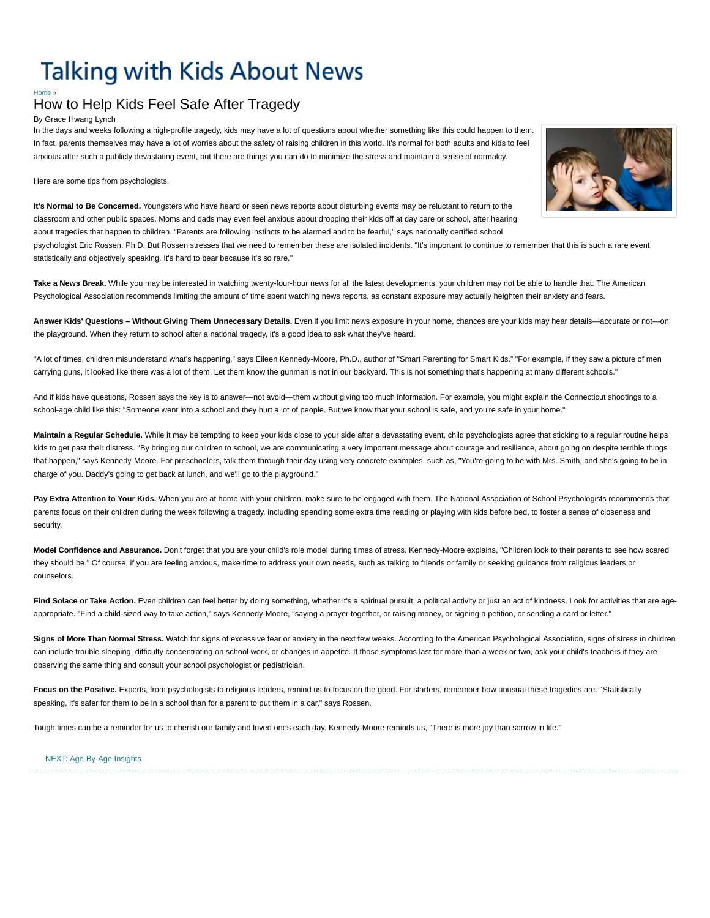# **Talking with Kids About News**

## <sub>[Home](http://www.pbs.org/parents/talkingwithkids/index.html) [»](http://www.pbs.org/parents/talkingwithkids/news)</sub><br>How to Help Kids Feel Safe After Tragedy

By Grace Hwang Lynch

In the days and weeks following a high-profile tragedy, kids may have a lot of questions about whether something like this could happen to them. In fact, parents themselves may have a lot of worries about the safety of raising children in this world. It's normal for both adults and kids to feel anxious after such a publicly devastating event, but there are things you can do to minimize the stress and maintain a sense of normalcy.

Here are some tips from psychologists.

**It's Normal to Be Concerned.** Youngsters who have heard or seen news reports about disturbing events may be reluctant to return to the classroom and other public spaces. Moms and dads may even feel anxious about dropping their kids off at day care or school, after hearing about tragedies that happen to children. "Parents are following instincts to be alarmed and to be fearful," says nationally certified school

psychologist Eric Rossen, Ph.D. But Rossen stresses that we need to remember these are isolated incidents. "It's important to continue to remember that this is such a rare event, statistically and objectively speaking. It's hard to bear because it's so rare."

Take a News Break. While you may be interested in watching twenty-four-hour news for all the latest developments, your children may not be able to handle that. The American Psychological Association recommends limiting the amount of time spent watching news reports, as constant exposure may actually heighten their anxiety and fears.

**Answer Kids' Questions – Without Giving Them Unnecessary Details.** Even if you limit news exposure in your home, chances are your kids may hear details—accurate or not—on the playground. When they return to school after a national tragedy, it's a good idea to ask what they've heard.

"A lot of times, children misunderstand what's happening," says Eileen Kennedy-Moore, Ph.D., author of "Smart Parenting for Smart Kids." "For example, if they saw a picture of men carrying guns, it looked like there was a lot of them. Let them know the gunman is not in our backyard. This is not something that's happening at many different schools."

And if kids have questions, Rossen says the key is to answer—not avoid—them without giving too much information. For example, you might explain the Connecticut shootings to a school-age child like this: "Someone went into a school and they hurt a lot of people. But we know that your school is safe, and you're safe in your home."

Maintain a Regular Schedule. While it may be tempting to keep your kids close to your side after a devastating event, child psychologists agree that sticking to a regular routine helps kids to get past their distress. "By bringing our children to school, we are communicating a very important message about courage and resilience, about going on despite terrible things that happen," says Kennedy-Moore. For preschoolers, talk them through their day using very concrete examples, such as, "You're going to be with Mrs. Smith, and she's going to be in charge of you. Daddy's going to get back at lunch, and we'll go to the playground."

Pay Extra Attention to Your Kids. When you are at home with your children, make sure to be engaged with them. The National Association of School Psychologists recommends that parents focus on their children during the week following a tragedy, including spending some extra time reading or playing with kids before bed, to foster a sense of closeness and security.

Model Confidence and Assurance. Don't forget that you are your child's role model during times of stress. Kennedy-Moore explains, "Children look to their parents to see how scared they should be." Of course, if you are feeling anxious, make time to address your own needs, such as talking to friends or family or seeking guidance from religious leaders or counselors.

Find Solace or Take Action. Even children can feel better by doing something, whether it's a spiritual pursuit, a political activity or just an act of kindness. Look for activities that are ageappropriate. "Find a child-sized way to take action," says Kennedy-Moore, "saying a prayer together, or raising money, or signing a petition, or sending a card or letter."

**Signs of More Than Normal Stress.** Watch for signs of excessive fear or anxiety in the next few weeks. According to the American Psychological Association, signs of stress in children can include trouble sleeping, difficulty concentrating on school work, or changes in appetite. If those symptoms last for more than a week or two, ask your child's teachers if they are observing the same thing and consult your school psychologist or pediatrician.

Focus on the Positive. Experts, from psychologists to religious leaders, remind us to focus on the good. For starters, remember how unusual these tragedies are. "Statistically speaking, it's safer for them to be in a school than for a parent to put them in a car," says Rossen.

Tough times can be a reminder for us to cherish our family and loved ones each day. Kennedy-Moore reminds us, "There is more joy than sorrow in life."

#### [NEXT: Age-By-Age Insights](http://www.pbs.org/parents/talkingwithkids/news/agebyage.html)